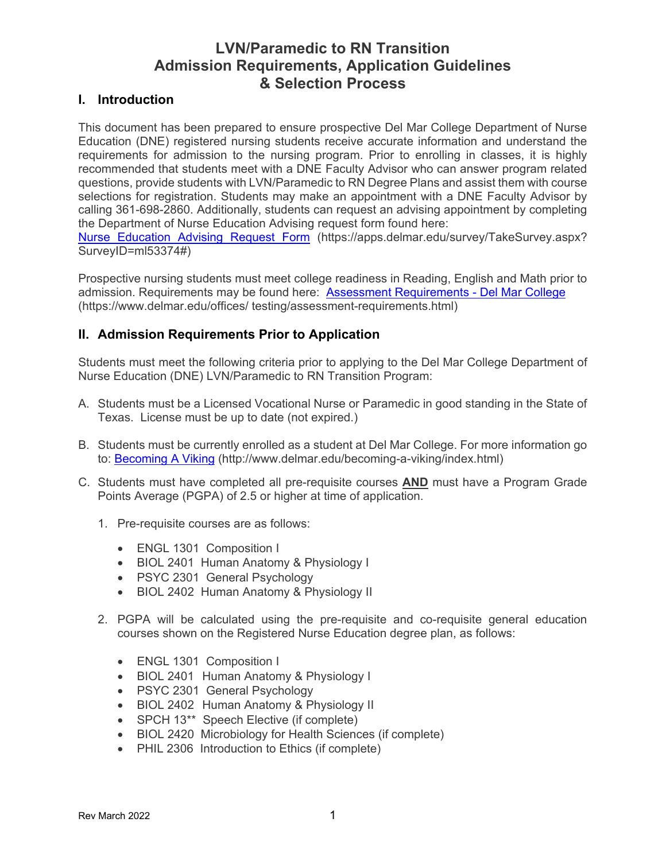# **LVN/Paramedic to RN Transition Admission Requirements, Application Guidelines & Selection Process**

## **I. Introduction**

This document has been prepared to ensure prospective Del Mar College Department of Nurse Education (DNE) registered nursing students receive accurate information and understand the requirements for admission to the nursing program. Prior to enrolling in classes, it is highly recommended that students meet with a DNE Faculty Advisor who can answer program related questions, provide students with LVN/Paramedic to RN Degree Plans and assist them with course selections for registration. Students may make an appointment with a DNE Faculty Advisor by calling 361-698-2860. Additionally, students can request an advising appointment by completing the Department of Nurse Education Advising request form found here:

[Nurse Education Advising Request Form](https://apps.delmar.edu/survey/TakeSurvey.aspx?SurveyID=ml53374) (https://apps.delmar.edu/survey/TakeSurvey.aspx? SurveyID=ml53374#)

Prospective nursing students must meet college readiness in Reading, English and Math prior to admission. Requirements may be found here: [Assessment Requirements -](https://www.delmar.edu/offices/testing/assessment-requirements.html) Del Mar College (https://www.delmar.edu/offices/ testing/assessment-requirements.html)

## **II. Admission Requirements Prior to Application**

Students must meet the following criteria prior to applying to the Del Mar College Department of Nurse Education (DNE) LVN/Paramedic to RN Transition Program:

- A. Students must be a Licensed Vocational Nurse or Paramedic in good standing in the State of Texas. License must be up to date (not expired.)
- B. Students must be currently enrolled as a student at Del Mar College. For more information go to: [Becoming A Viking](http://www.delmar.edu/becoming-a-viking/index.html) (http://www.delmar.edu/becoming-a-viking/index.html)
- C. Students must have completed all pre-requisite courses **AND** must have a Program Grade Points Average (PGPA) of 2.5 or higher at time of application.
	- 1. Pre-requisite courses are as follows:
		- ENGL 1301 Composition I
		- BIOL 2401 Human Anatomy & Physiology I
		- PSYC 2301 General Psychology
		- BIOL 2402 Human Anatomy & Physiology II
	- 2. PGPA will be calculated using the pre-requisite and co-requisite general education courses shown on the Registered Nurse Education degree plan, as follows:
		- ENGL 1301 Composition I
		- BIOL 2401 Human Anatomy & Physiology I
		- PSYC 2301 General Psychology
		- BIOL 2402 Human Anatomy & Physiology II
		- SPCH 13\*\* Speech Elective (if complete)
		- BIOL 2420 Microbiology for Health Sciences (if complete)
		- PHIL 2306 Introduction to Ethics (if complete)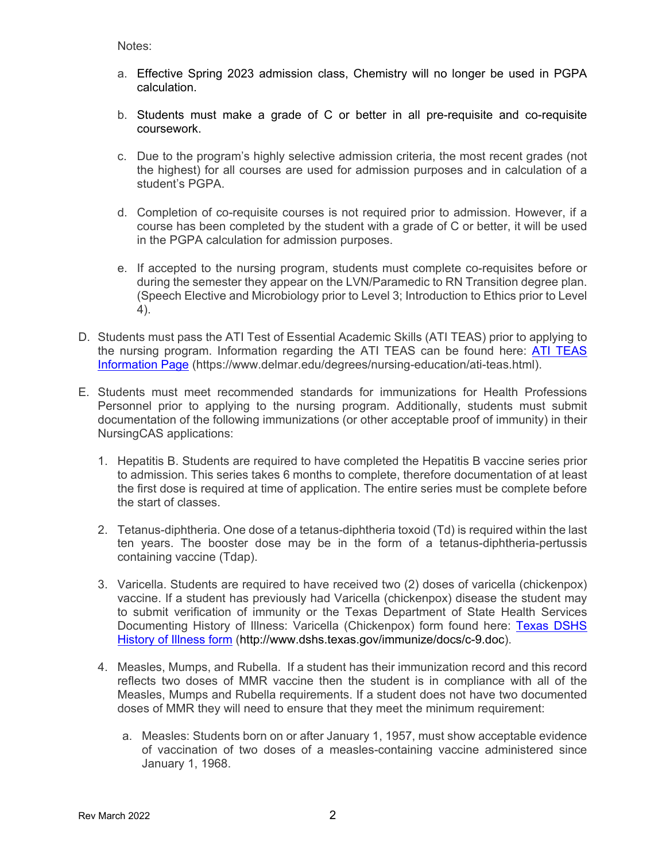Notes:

- a. Effective Spring 2023 admission class, Chemistry will no longer be used in PGPA calculation.
- b. Students must make a grade of C or better in all pre-requisite and co-requisite coursework.
- c. Due to the program's highly selective admission criteria, the most recent grades (not the highest) for all courses are used for admission purposes and in calculation of a student's PGPA.
- d. Completion of co-requisite courses is not required prior to admission. However, if a course has been completed by the student with a grade of C or better, it will be used in the PGPA calculation for admission purposes.
- e. If accepted to the nursing program, students must complete co-requisites before or during the semester they appear on the LVN/Paramedic to RN Transition degree plan. (Speech Elective and Microbiology prior to Level 3; Introduction to Ethics prior to Level 4).
- D. Students must pass the ATI Test of Essential Academic Skills (ATI TEAS) prior to applying to the nursing program. Information regarding the [ATI TEAS](https://www.delmar.edu/degrees/nursing-education/ati-teas.html) can be found here: **ATI TEAS** [Information Page](https://www.delmar.edu/degrees/nursing-education/ati-teas.html) (https://www.delmar.edu/degrees/nursing-education/ati-teas.html).
- E. Students must meet recommended standards for immunizations for Health Professions Personnel prior to applying to the nursing program. Additionally, students must submit documentation of the following immunizations (or other acceptable proof of immunity) in their NursingCAS applications:
	- 1. Hepatitis B. Students are required to have completed the Hepatitis B vaccine series prior to admission. This series takes 6 months to complete, therefore documentation of at least the first dose is required at time of application. The entire series must be complete before the start of classes.
	- 2. Tetanus-diphtheria. One dose of a tetanus-diphtheria toxoid (Td) is required within the last ten years. The booster dose may be in the form of a tetanus-diphtheria-pertussis containing vaccine (Tdap).
	- 3. Varicella. Students are required to have received two (2) doses of varicella (chickenpox) vaccine. If a student has previously had Varicella (chickenpox) disease the student may to submit verification of immunity or the Texas Department of State Health Services Documenting History of Illness: Varicella (Chickenpox) form found here: Texas DSHS [History of Illness form](http://www.dshs.texas.gov/WorkArea/linkit.aspx?LinkIdentifier=id&ItemID=24595) (http://www.dshs.texas.gov/immunize/docs/c-9.doc).
	- 4. Measles, Mumps, and Rubella. If a student has their immunization record and this record reflects two doses of MMR vaccine then the student is in compliance with all of the Measles, Mumps and Rubella requirements. If a student does not have two documented doses of MMR they will need to ensure that they meet the minimum requirement:
		- a. Measles: Students born on or after January 1, 1957, must show acceptable evidence of vaccination of two doses of a measles-containing vaccine administered since January 1, 1968.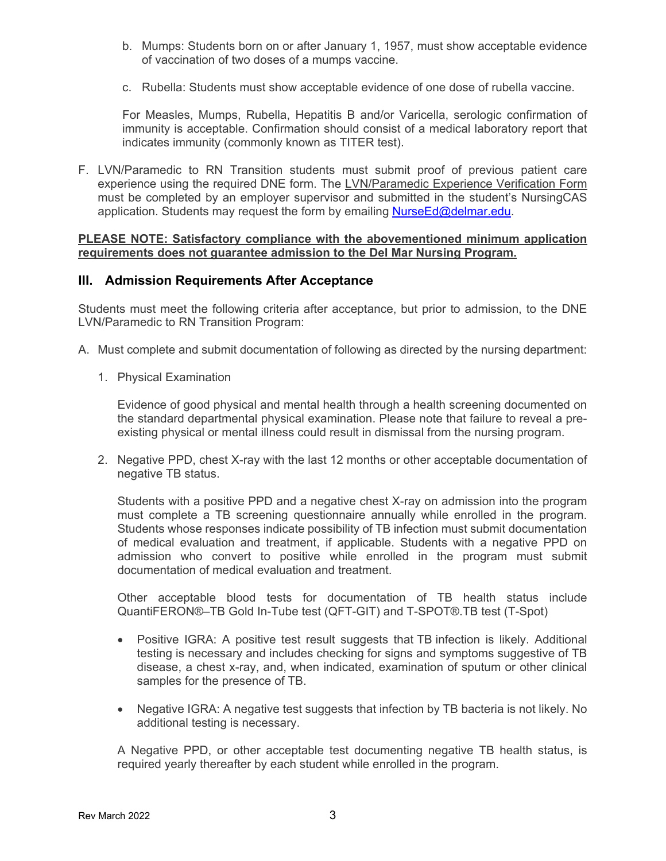- b. Mumps: Students born on or after January 1, 1957, must show acceptable evidence of vaccination of two doses of a mumps vaccine.
- c. Rubella: Students must show acceptable evidence of one dose of rubella vaccine.

For Measles, Mumps, Rubella, Hepatitis B and/or Varicella, serologic confirmation of immunity is acceptable. Confirmation should consist of a medical laboratory report that indicates immunity (commonly known as TITER test).

F. LVN/Paramedic to RN Transition students must submit proof of previous patient care experience using the required DNE form. The LVN/Paramedic Experience Verification Form must be completed by an employer supervisor and submitted in the student's NursingCAS application. Students may request the form by emailing [NurseEd@delmar.edu.](mailto:NurseEd@delmar.edu)

#### **PLEASE NOTE: Satisfactory compliance with the abovementioned minimum application requirements does not guarantee admission to the Del Mar Nursing Program.**

### **III. Admission Requirements After Acceptance**

Students must meet the following criteria after acceptance, but prior to admission, to the DNE LVN/Paramedic to RN Transition Program:

- A. Must complete and submit documentation of following as directed by the nursing department:
	- 1. Physical Examination

Evidence of good physical and mental health through a health screening documented on the standard departmental physical examination. Please note that failure to reveal a preexisting physical or mental illness could result in dismissal from the nursing program.

2. Negative PPD, chest X-ray with the last 12 months or other acceptable documentation of negative TB status.

Students with a positive PPD and a negative chest X-ray on admission into the program must complete a TB screening questionnaire annually while enrolled in the program. Students whose responses indicate possibility of TB infection must submit documentation of medical evaluation and treatment, if applicable. Students with a negative PPD on admission who convert to positive while enrolled in the program must submit documentation of medical evaluation and treatment.

Other acceptable blood tests for documentation of TB health status include QuantiFERON®–TB Gold In-Tube test (QFT-GIT) and T-SPOT®.TB test (T-Spot)

- Positive IGRA: A positive test result suggests that TB infection is likely. Additional testing is necessary and includes checking for signs and symptoms suggestive of TB disease, a chest x-ray, and, when indicated, examination of sputum or other clinical samples for the presence of TB.
- Negative IGRA: A negative test suggests that infection by TB bacteria is not likely. No additional testing is necessary.

A Negative PPD, or other acceptable test documenting negative TB health status, is required yearly thereafter by each student while enrolled in the program.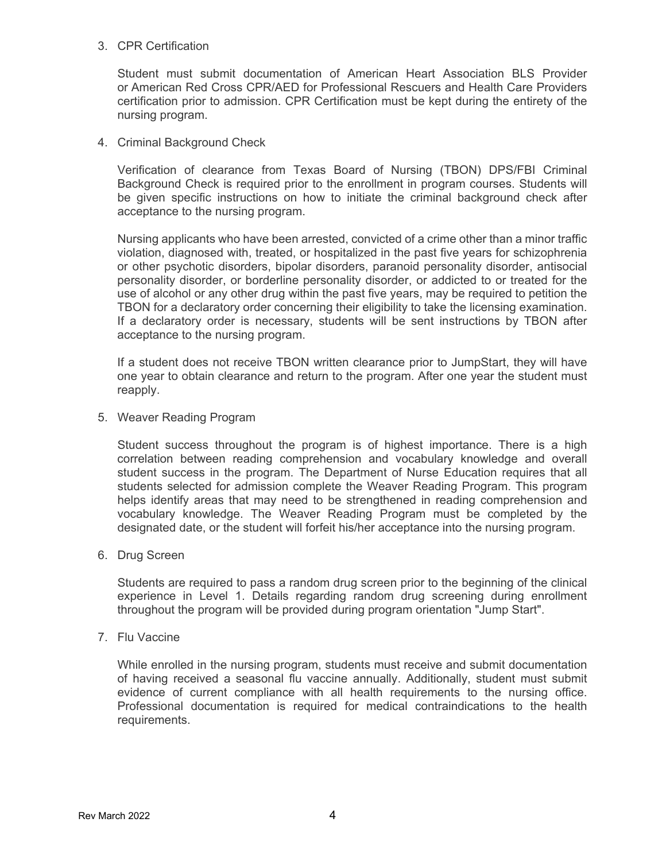#### 3. CPR Certification

Student must submit documentation of American Heart Association BLS Provider or American Red Cross CPR/AED for Professional Rescuers and Health Care Providers certification prior to admission. CPR Certification must be kept during the entirety of the nursing program.

4. Criminal Background Check

Verification of clearance from Texas Board of Nursing (TBON) DPS/FBI Criminal Background Check is required prior to the enrollment in program courses. Students will be given specific instructions on how to initiate the criminal background check after acceptance to the nursing program.

Nursing applicants who have been arrested, convicted of a crime other than a minor traffic violation, diagnosed with, treated, or hospitalized in the past five years for schizophrenia or other psychotic disorders, bipolar disorders, paranoid personality disorder, antisocial personality disorder, or borderline personality disorder, or addicted to or treated for the use of alcohol or any other drug within the past five years, may be required to petition the TBON for a declaratory order concerning their eligibility to take the licensing examination. If a declaratory order is necessary, students will be sent instructions by TBON after acceptance to the nursing program.

If a student does not receive TBON written clearance prior to JumpStart, they will have one year to obtain clearance and return to the program. After one year the student must reapply.

5. Weaver Reading Program

Student success throughout the program is of highest importance. There is a high correlation between reading comprehension and vocabulary knowledge and overall student success in the program. The Department of Nurse Education requires that all students selected for admission complete the Weaver Reading Program. This program helps identify areas that may need to be strengthened in reading comprehension and vocabulary knowledge. The Weaver Reading Program must be completed by the designated date, or the student will forfeit his/her acceptance into the nursing program.

6. Drug Screen

Students are required to pass a random drug screen prior to the beginning of the clinical experience in Level 1. Details regarding random drug screening during enrollment throughout the program will be provided during program orientation "Jump Start".

7. Flu Vaccine

While enrolled in the nursing program, students must receive and submit documentation of having received a seasonal flu vaccine annually. Additionally, student must submit evidence of current compliance with all health requirements to the nursing office. Professional documentation is required for medical contraindications to the health requirements.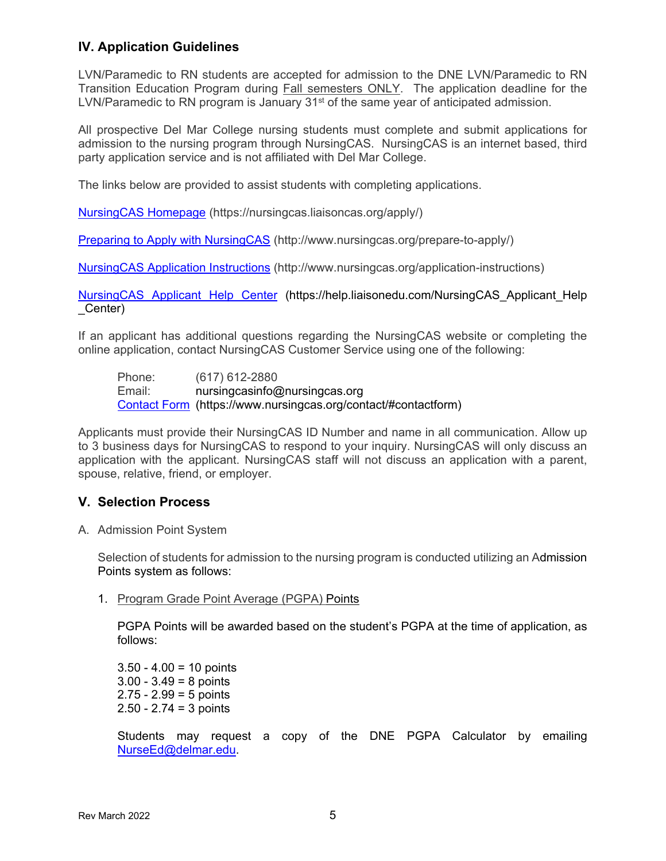# **IV. Application Guidelines**

LVN/Paramedic to RN students are accepted for admission to the DNE LVN/Paramedic to RN Transition Education Program during Fall semesters ONLY. The application deadline for the LVN/Paramedic to RN program is January 31<sup>st</sup> of the same year of anticipated admission.

All prospective Del Mar College nursing students must complete and submit applications for admission to the nursing program through NursingCAS. NursingCAS is an internet based, third party application service and is not affiliated with Del Mar College.

The links below are provided to assist students with completing applications.

[NursingCAS Homepage](https://nursingcas.liaisoncas.org/apply/) (https://nursingcas.liaisoncas.org/apply/)

[Preparing to Apply with NursingCAS](http://www.nursingcas.org/prepare-to-apply/) (http://www.nursingcas.org/prepare-to-apply/)

[NursingCAS Application Instructions](http://www.nursingcas.org/application-instructions/) (http://www.nursingcas.org/application-instructions)

[NursingCAS Applicant Help Center](https://help.liaisonedu.com/NursingCAS_Applicant_Help_Center) (https://help.liaisonedu.com/NursingCAS\_Applicant\_Help \_Center)

If an applicant has additional questions regarding the NursingCAS website or completing the online application, contact NursingCAS Customer Service using one of the following:

Phone: (617) 612-2880<br>Email: nursingcasinfo@ nursingcasinfo@nursingcas.org [Contact Form](https://www.nursingcas.org/contact/#contactform) (https://www.nursingcas.org/contact/#contactform)

Applicants must provide their NursingCAS ID Number and name in all communication. Allow up to 3 business days for NursingCAS to respond to your inquiry. NursingCAS will only discuss an application with the applicant. NursingCAS staff will not discuss an application with a parent, spouse, relative, friend, or employer.

# **V. Selection Process**

A. Admission Point System

Selection of students for admission to the nursing program is conducted utilizing an Admission Points system as follows:

1. Program Grade Point Average (PGPA) Points

PGPA Points will be awarded based on the student's PGPA at the time of application, as follows:

 $3.50 - 4.00 = 10$  points  $3.00 - 3.49 = 8$  points  $2.75 - 2.99 = 5$  points 2.50 - 2.74 = 3 points

Students may request a copy of the DNE PGPA Calculator by emailing [NurseEd@delmar.edu.](mailto:NurseEd@delmar.edu)